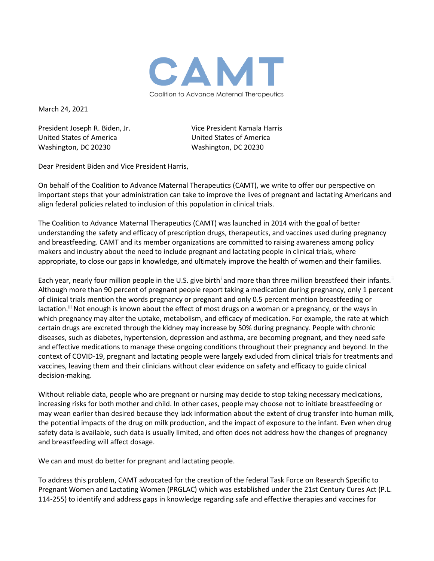

March 24, 2021

United States of America United States of America Washington, DC 20230 Washington, DC 20230

President Joseph R. Biden, Jr. Vice President Kamala Harris

Dear President Biden and Vice President Harris,

On behalf of the Coalition to Advance Maternal Therapeutics (CAMT), we write to offer our perspective on important steps that your administration can take to improve the lives of pregnant and lactating Americans and align federal policies related to inclusion of this population in clinical trials.

The Coalition to Advance Maternal Therapeutics (CAMT) was launched in 2014 with the goal of better understanding the safety and efficacy of prescription drugs, therapeutics, and vaccines used during pregnancy and breastfeeding. CAMT and its member organizations are committed to raising awareness among policy makers and industry about the need to include pregnant and lactating people in clinical trials, where appropriate, to close our gaps in knowledge, and ultimately improve the health of women and their families.

Each year, nearly four m[i](#page-2-0)llion people in the U.S. give birth<sup>i</sup> and more than three million breastfeed their infants.<sup>[ii](#page-2-1)</sup> Although more than 90 percent of pregnant people report taking a medication during pregnancy, only 1 percent of clinical trials mention the words pregnancy or pregnant and only 0.5 percent mention breastfeeding or lactation.<sup>ii</sup> Not enough is known about the effect of most drugs on a woman or a pregnancy, or the ways in which pregnancy may alter the uptake, metabolism, and efficacy of medication. For example, the rate at which certain drugs are excreted through the kidney may increase by 50% during pregnancy. People with chronic diseases, such as diabetes, hypertension, depression and asthma, are becoming pregnant, and they need safe and effective medications to manage these ongoing conditions throughout their pregnancy and beyond. In the context of COVID-19, pregnant and lactating people were largely excluded from clinical trials for treatments and vaccines, leaving them and their clinicians without clear evidence on safety and efficacy to guide clinical decision-making.

Without reliable data, people who are pregnant or nursing may decide to stop taking necessary medications, increasing risks for both mother and child. In other cases, people may choose not to initiate breastfeeding or may wean earlier than desired because they lack information about the extent of drug transfer into human milk, the potential impacts of the drug on milk production, and the impact of exposure to the infant. Even when drug safety data is available, such data is usually limited, and often does not address how the changes of pregnancy and breastfeeding will affect dosage.

We can and must do better for pregnant and lactating people.

To address this problem, CAMT advocated for the creation of the federal Task Force on Research Specific to Pregnant Women and Lactating Women (PRGLAC) which was established under the 21st Century Cures Act (P.L. 114-255) to identify and address gaps in knowledge regarding safe and effective therapies and vaccines for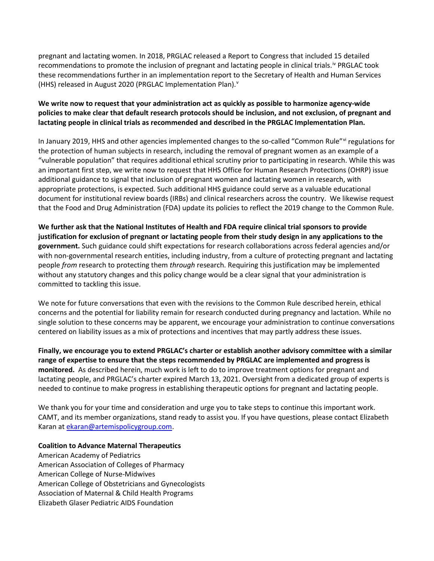pregnant and lactating women. In 2018, PRGLAC released a Report to Congress that included 15 detailed recommendations to promote the inclusion of pregnant and lactating people in clinical trials.<sup>[iv](#page-2-3)</sup> PRGLAC took these recommendations further in an implementation report to the Secretary of Health and Human Services (HHS) released in August 2020 (PRGLAC Implementation Plan). [v](#page-2-4)

## **We write now to request that your administration act as quickly as possible to harmonize agency-wide policies to make clear that default research protocols should be inclusion, and not exclusion, of pregnant and lactating people in clinical trials as recommended and described in the PRGLAC Implementation Plan.**

In January 2019, HHS and other agencies implemented changes to the so-called "Common Rule"[vi](#page-2-5) regulations for the protection of human subjects in research, including the removal of pregnant women as an example of a "vulnerable population" that requires additional ethical scrutiny prior to participating in research. While this was an important first step, we write now to request that HHS Office for Human Research Protections (OHRP) issue additional guidance to signal that inclusion of pregnant women and lactating women in research, with appropriate protections, is expected. Such additional HHS guidance could serve as a valuable educational document for institutional review boards (IRBs) and clinical researchers across the country. We likewise request that the Food and Drug Administration (FDA) update its policies to reflect the 2019 change to the Common Rule.

**We further ask that the National Institutes of Health and FDA require clinical trial sponsors to provide justification for exclusion of pregnant or lactating people from their study design in any applications to the government.** Such guidance could shift expectations for research collaborations across federal agencies and/or with non-governmental research entities, including industry, from a culture of protecting pregnant and lactating people *from* research to protecting them *through* research. Requiring this justification may be implemented without any statutory changes and this policy change would be a clear signal that your administration is committed to tackling this issue.

We note for future conversations that even with the revisions to the Common Rule described herein, ethical concerns and the potential for liability remain for research conducted during pregnancy and lactation. While no single solution to these concerns may be apparent, we encourage your administration to continue conversations centered on liability issues as a mix of protections and incentives that may partly address these issues.

**Finally, we encourage you to extend PRGLAC's charter or establish another advisory committee with a similar range of expertise to ensure that the steps recommended by PRGLAC are implemented and progress is monitored.** As described herein, much work is left to do to improve treatment options for pregnant and lactating people, and PRGLAC's charter expired March 13, 2021. Oversight from a dedicated group of experts is needed to continue to make progress in establishing therapeutic options for pregnant and lactating people.

We thank you for your time and consideration and urge you to take steps to continue this important work. CAMT, and its member organizations, stand ready to assist you. If you have questions, please contact Elizabeth Karan at [ekaran@artemispolicygroup.com.](mailto:ekaran@artemispolicygroup.com)

## **Coalition to Advance Maternal Therapeutics**

American Academy of Pediatrics American Association of Colleges of Pharmacy American College of Nurse-Midwives American College of Obstetricians and Gynecologists Association of Maternal & Child Health Programs Elizabeth Glaser Pediatric AIDS Foundation